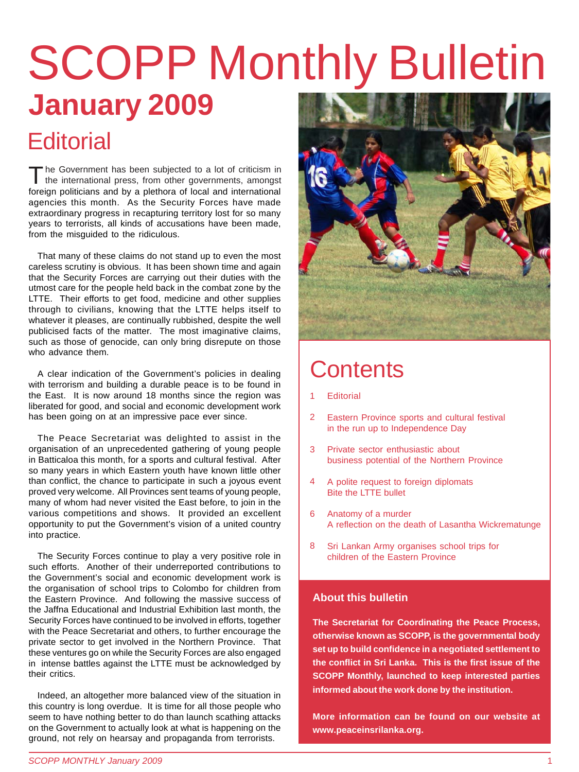# **January 2009** SCOPP Monthly Bulletin

#### **Editorial**

foreign politicians and by a plethora of local and international agencies this month. As the Security Forces have made extraordinary progress in recapturing territory lost for so many years to terrorists, all kinds of accusations have been made, from the misguided to the ridiculous. The Government has been subjected to a lot of criticism in the international press, from other governments, amongst

That many of these claims do not stand up to even the most careless scrutiny is obvious. It has been shown time and again that the Security Forces are carrying out their duties with the utmost care for the people held back in the combat zone by the LTTE. Their efforts to get food, medicine and other supplies through to civilians, knowing that the LTTE helps itself to whatever it pleases, are continually rubbished, despite the well publicised facts of the matter. The most imaginative claims, such as those of genocide, can only bring disrepute on those who advance them.

A clear indication of the Government's policies in dealing with terrorism and building a durable peace is to be found in the East. It is now around 18 months since the region was liberated for good, and social and economic development work has been going on at an impressive pace ever since.

The Peace Secretariat was delighted to assist in the organisation of an unprecedented gathering of young people in Batticaloa this month, for a sports and cultural festival. After so many years in which Eastern youth have known little other than conflict, the chance to participate in such a joyous event proved very welcome. All Provinces sent teams of young people, many of whom had never visited the East before, to join in the various competitions and shows. It provided an excellent opportunity to put the Government's vision of a united country into practice.

The Security Forces continue to play a very positive role in such efforts. Another of their underreported contributions to the Government's social and economic development work is the organisation of school trips to Colombo for children from the Eastern Province. And following the massive success of the Jaffna Educational and Industrial Exhibition last month, the Security Forces have continued to be involved in efforts, together with the Peace Secretariat and others, to further encourage the private sector to get involved in the Northern Province. That these ventures go on while the Security Forces are also engaged in intense battles against the LTTE must be acknowledged by their critics.

Indeed, an altogether more balanced view of the situation in this country is long overdue. It is time for all those people who seem to have nothing better to do than launch scathing attacks on the Government to actually look at what is happening on the ground, not rely on hearsay and propaganda from terrorists.



#### **Contents**

- **Editorial** 1
- Eastern Province sports and cultural festival in the run up to Independence Day 2
- Private sector enthusiastic about business potential of the Northern Province 3
- A polite request to foreign diplomats Bite the LTTE bullet 4
- Anatomy of a murder A reflection on the death of Lasantha Wickrematunge 6
- Sri Lankan Army organises school trips for children of the Eastern Province 8

#### **About this bulletin**

**The Secretariat for Coordinating the Peace Process, otherwise known as SCOPP, is the governmental body set up to build confidence in a negotiated settlement to the conflict in Sri Lanka. This is the first issue of the SCOPP Monthly, launched to keep interested parties informed about the work done by the institution.**

**More information can be found on our website at www.peaceinsrilanka.org.**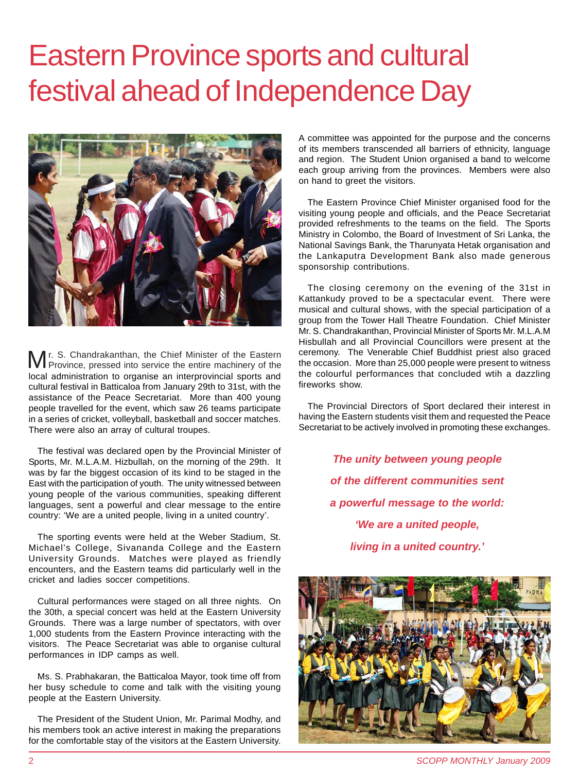## Eastern Province sports and cultural festival ahead of Independence Day



local administration to organise an interprovincial sports and cultural festival in Batticaloa from January 29th to 31st, with the assistance of the Peace Secretariat. More than 400 young people travelled for the event, which saw 26 teams participate in a series of cricket, volleyball, basketball and soccer matches. There were also an array of cultural troupes. r. S. Chandrakanthan, the Chief Minister of the Eastern Province, pressed into service the entire machinery of the

The festival was declared open by the Provincial Minister of Sports, Mr. M.L.A.M. Hizbullah, on the morning of the 29th. It was by far the biggest occasion of its kind to be staged in the East with the participation of youth. The unity witnessed between young people of the various communities, speaking different languages, sent a powerful and clear message to the entire country: 'We are a united people, living in a united country'.

The sporting events were held at the Weber Stadium, St. Michael's College, Sivananda College and the Eastern University Grounds. Matches were played as friendly encounters, and the Eastern teams did particularly well in the cricket and ladies soccer competitions.

Cultural performances were staged on all three nights. On the 30th, a special concert was held at the Eastern University Grounds. There was a large number of spectators, with over 1,000 students from the Eastern Province interacting with the visitors. The Peace Secretariat was able to organise cultural performances in IDP camps as well.

Ms. S. Prabhakaran, the Batticaloa Mayor, took time off from her busy schedule to come and talk with the visiting young people at the Eastern University.

The President of the Student Union, Mr. Parimal Modhy, and his members took an active interest in making the preparations for the comfortable stay of the visitors at the Eastern University.

A committee was appointed for the purpose and the concerns of its members transcended all barriers of ethnicity, language and region. The Student Union organised a band to welcome each group arriving from the provinces. Members were also on hand to greet the visitors.

The Eastern Province Chief Minister organised food for the visiting young people and officials, and the Peace Secretariat provided refreshments to the teams on the field. The Sports Ministry in Colombo, the Board of Investment of Sri Lanka, the National Savings Bank, the Tharunyata Hetak organisation and the Lankaputra Development Bank also made generous sponsorship contributions.

The closing ceremony on the evening of the 31st in Kattankudy proved to be a spectacular event. There were musical and cultural shows, with the special participation of a group from the Tower Hall Theatre Foundation. Chief Minister Mr. S. Chandrakanthan, Provincial Minister of Sports Mr. M.L.A.M Hisbullah and all Provincial Councillors were present at the ceremony. The Venerable Chief Buddhist priest also graced the occasion. More than 25,000 people were present to witness the colourful performances that concluded wtih a dazzling fireworks show.

The Provincial Directors of Sport declared their interest in having the Eastern students visit them and requested the Peace Secretariat to be actively involved in promoting these exchanges.

> *The unity between young people of the different communities sent a powerful message to the world: 'We are a united people, living in a united country.'*



2 *SCOPP MONTHLY January 2009*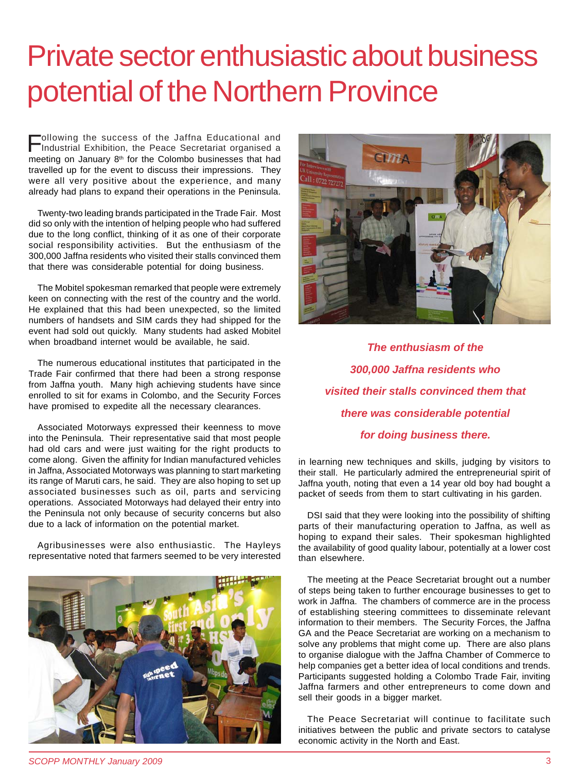## Private sector enthusiastic about business potential of the Northern Province

meeting on January 8<sup>th</sup> for the Colombo businesses that had travelled up for the event to discuss their impressions. They were all very positive about the experience, and many already had plans to expand their operations in the Peninsula. Following the success of the Jaffna Educational and Industrial Exhibition, the Peace Secretariat organised a

Twenty-two leading brands participated in the Trade Fair. Most did so only with the intention of helping people who had suffered due to the long conflict, thinking of it as one of their corporate social responsibility activities. But the enthusiasm of the 300,000 Jaffna residents who visited their stalls convinced them that there was considerable potential for doing business.

The Mobitel spokesman remarked that people were extremely keen on connecting with the rest of the country and the world. He explained that this had been unexpected, so the limited numbers of handsets and SIM cards they had shipped for the event had sold out quickly. Many students had asked Mobitel when broadband internet would be available, he said.

The numerous educational institutes that participated in the Trade Fair confirmed that there had been a strong response from Jaffna youth. Many high achieving students have since enrolled to sit for exams in Colombo, and the Security Forces have promised to expedite all the necessary clearances.

Associated Motorways expressed their keenness to move into the Peninsula. Their representative said that most people had old cars and were just waiting for the right products to come along. Given the affinity for Indian manufactured vehicles in Jaffna, Associated Motorways was planning to start marketing its range of Maruti cars, he said. They are also hoping to set up associated businesses such as oil, parts and servicing operations. Associated Motorways had delayed their entry into the Peninsula not only because of security concerns but also due to a lack of information on the potential market.

Agribusinesses were also enthusiastic. The Hayleys representative noted that farmers seemed to be very interested





*The enthusiasm of the 300,000 Jaffna residents who visited their stalls convinced them that there was considerable potential for doing business there.*

in learning new techniques and skills, judging by visitors to their stall. He particularly admired the entrepreneurial spirit of Jaffna youth, noting that even a 14 year old boy had bought a packet of seeds from them to start cultivating in his garden.

DSI said that they were looking into the possibility of shifting parts of their manufacturing operation to Jaffna, as well as hoping to expand their sales. Their spokesman highlighted the availability of good quality labour, potentially at a lower cost than elsewhere.

The meeting at the Peace Secretariat brought out a number of steps being taken to further encourage businesses to get to work in Jaffna. The chambers of commerce are in the process of establishing steering committees to disseminate relevant information to their members. The Security Forces, the Jaffna GA and the Peace Secretariat are working on a mechanism to solve any problems that might come up. There are also plans to organise dialogue with the Jaffna Chamber of Commerce to help companies get a better idea of local conditions and trends. Participants suggested holding a Colombo Trade Fair, inviting Jaffna farmers and other entrepreneurs to come down and sell their goods in a bigger market.

The Peace Secretariat will continue to facilitate such initiatives between the public and private sectors to catalyse economic activity in the North and East.

*SCOPP MONTHLY January 2009* 3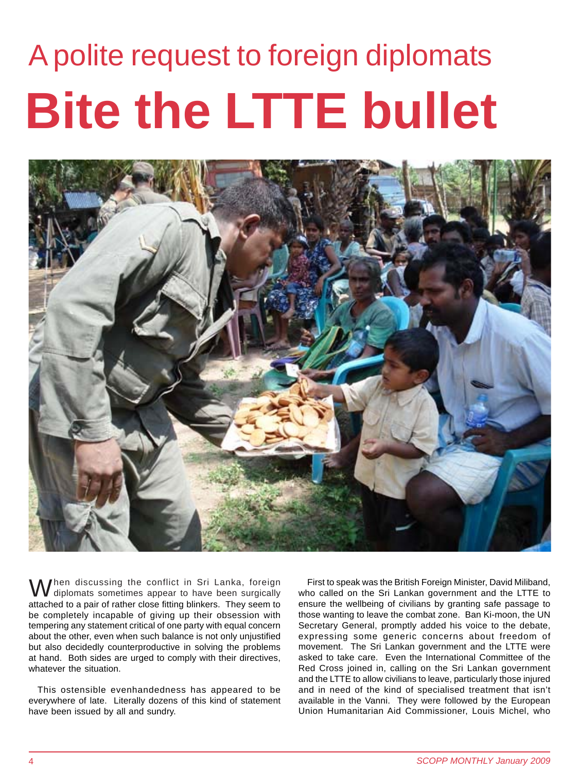# **Bite the LTTE bullet** A polite request to foreign diplomats



attached to a pair of rather close fitting blinkers. They seem to be completely incapable of giving up their obsession with tempering any statement critical of one party with equal concern about the other, even when such balance is not only unjustified but also decidedly counterproductive in solving the problems at hand. Both sides are urged to comply with their directives, whatever the situation. When discussing the conflict in Sri Lanka, foreign<br>diplomats sometimes appear to have been surgically

This ostensible evenhandedness has appeared to be everywhere of late. Literally dozens of this kind of statement have been issued by all and sundry.

First to speak was the British Foreign Minister, David Miliband, who called on the Sri Lankan government and the LTTE to ensure the wellbeing of civilians by granting safe passage to those wanting to leave the combat zone. Ban Ki-moon, the UN Secretary General, promptly added his voice to the debate, expressing some generic concerns about freedom of movement. The Sri Lankan government and the LTTE were asked to take care. Even the International Committee of the Red Cross joined in, calling on the Sri Lankan government and the LTTE to allow civilians to leave, particularly those injured and in need of the kind of specialised treatment that isn't available in the Vanni. They were followed by the European Union Humanitarian Aid Commissioner, Louis Michel, who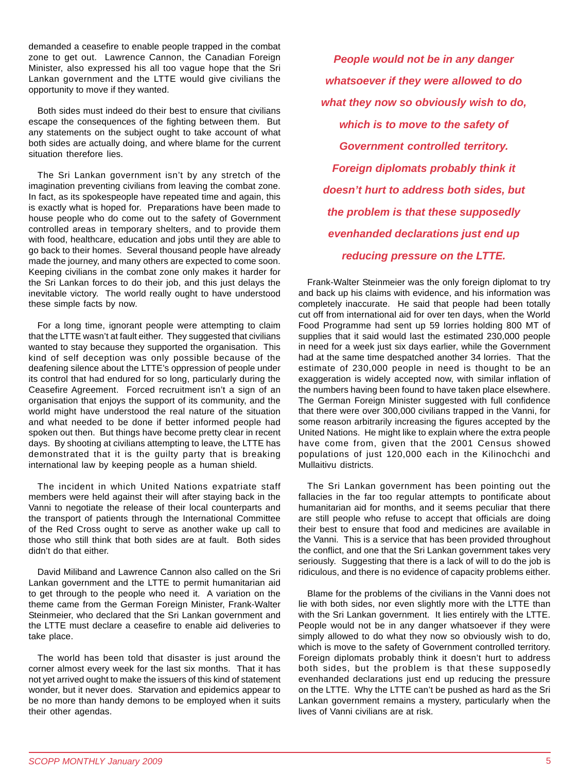demanded a ceasefire to enable people trapped in the combat zone to get out. Lawrence Cannon, the Canadian Foreign Minister, also expressed his all too vague hope that the Sri Lankan government and the LTTE would give civilians the opportunity to move if they wanted.

Both sides must indeed do their best to ensure that civilians escape the consequences of the fighting between them. But any statements on the subject ought to take account of what both sides are actually doing, and where blame for the current situation therefore lies.

The Sri Lankan government isn't by any stretch of the imagination preventing civilians from leaving the combat zone. In fact, as its spokespeople have repeated time and again, this is exactly what is hoped for. Preparations have been made to house people who do come out to the safety of Government controlled areas in temporary shelters, and to provide them with food, healthcare, education and jobs until they are able to go back to their homes. Several thousand people have already made the journey, and many others are expected to come soon. Keeping civilians in the combat zone only makes it harder for the Sri Lankan forces to do their job, and this just delays the inevitable victory. The world really ought to have understood these simple facts by now.

For a long time, ignorant people were attempting to claim that the LTTE wasn't at fault either. They suggested that civilians wanted to stay because they supported the organisation. This kind of self deception was only possible because of the deafening silence about the LTTE's oppression of people under its control that had endured for so long, particularly during the Ceasefire Agreement. Forced recruitment isn't a sign of an organisation that enjoys the support of its community, and the world might have understood the real nature of the situation and what needed to be done if better informed people had spoken out then. But things have become pretty clear in recent days. By shooting at civilians attempting to leave, the LTTE has demonstrated that it is the guilty party that is breaking international law by keeping people as a human shield.

The incident in which United Nations expatriate staff members were held against their will after staying back in the Vanni to negotiate the release of their local counterparts and the transport of patients through the International Committee of the Red Cross ought to serve as another wake up call to those who still think that both sides are at fault. Both sides didn't do that either.

David Miliband and Lawrence Cannon also called on the Sri Lankan government and the LTTE to permit humanitarian aid to get through to the people who need it. A variation on the theme came from the German Foreign Minister, Frank-Walter Steinmeier, who declared that the Sri Lankan government and the LTTE must declare a ceasefire to enable aid deliveries to take place.

The world has been told that disaster is just around the corner almost every week for the last six months. That it has not yet arrived ought to make the issuers of this kind of statement wonder, but it never does. Starvation and epidemics appear to be no more than handy demons to be employed when it suits their other agendas.

*People would not be in any danger whatsoever if they were allowed to do what they now so obviously wish to do, which is to move to the safety of Government controlled territory. Foreign diplomats probably think it doesn't hurt to address both sides, but the problem is that these supposedly evenhanded declarations just end up reducing pressure on the LTTE.*

Frank-Walter Steinmeier was the only foreign diplomat to try and back up his claims with evidence, and his information was completely inaccurate. He said that people had been totally cut off from international aid for over ten days, when the World Food Programme had sent up 59 lorries holding 800 MT of supplies that it said would last the estimated 230,000 people in need for a week just six days earlier, while the Government had at the same time despatched another 34 lorries. That the estimate of 230,000 people in need is thought to be an exaggeration is widely accepted now, with similar inflation of the numbers having been found to have taken place elsewhere. The German Foreign Minister suggested with full confidence that there were over 300,000 civilians trapped in the Vanni, for some reason arbitrarily increasing the figures accepted by the United Nations. He might like to explain where the extra people have come from, given that the 2001 Census showed populations of just 120,000 each in the Kilinochchi and Mullaitivu districts.

The Sri Lankan government has been pointing out the fallacies in the far too regular attempts to pontificate about humanitarian aid for months, and it seems peculiar that there are still people who refuse to accept that officials are doing their best to ensure that food and medicines are available in the Vanni. This is a service that has been provided throughout the conflict, and one that the Sri Lankan government takes very seriously. Suggesting that there is a lack of will to do the job is ridiculous, and there is no evidence of capacity problems either.

Blame for the problems of the civilians in the Vanni does not lie with both sides, nor even slightly more with the LTTE than with the Sri Lankan government. It lies entirely with the LTTE. People would not be in any danger whatsoever if they were simply allowed to do what they now so obviously wish to do, which is move to the safety of Government controlled territory. Foreign diplomats probably think it doesn't hurt to address both sides, but the problem is that these supposedly evenhanded declarations just end up reducing the pressure on the LTTE. Why the LTTE can't be pushed as hard as the Sri Lankan government remains a mystery, particularly when the lives of Vanni civilians are at risk.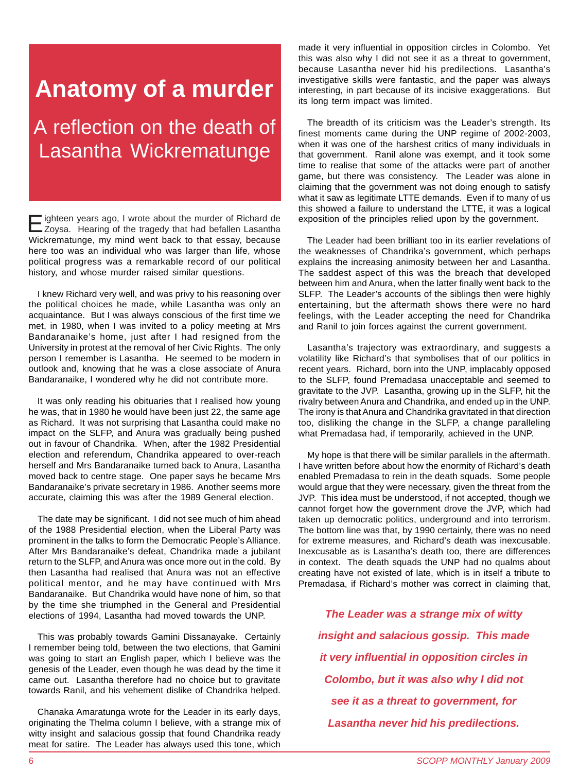#### **Anatomy of a murder**

A reflection on the death of Lasantha Wickrematunge

Wickrematunge, my mind went back to that essay, because here too was an individual who was larger than life, whose political progress was a remarkable record of our political history, and whose murder raised similar questions. Eighteen years ago, I wrote about the murder of Richard de Zoysa. Hearing of the tragedy that had befallen Lasantha

I knew Richard very well, and was privy to his reasoning over the political choices he made, while Lasantha was only an acquaintance. But I was always conscious of the first time we met, in 1980, when I was invited to a policy meeting at Mrs Bandaranaike's home, just after I had resigned from the University in protest at the removal of her Civic Rights. The only person I remember is Lasantha. He seemed to be modern in outlook and, knowing that he was a close associate of Anura Bandaranaike, I wondered why he did not contribute more.

It was only reading his obituaries that I realised how young he was, that in 1980 he would have been just 22, the same age as Richard. It was not surprising that Lasantha could make no impact on the SLFP, and Anura was gradually being pushed out in favour of Chandrika. When, after the 1982 Presidential election and referendum, Chandrika appeared to over-reach herself and Mrs Bandaranaike turned back to Anura, Lasantha moved back to centre stage. One paper says he became Mrs Bandaranaike's private secretary in 1986. Another seems more accurate, claiming this was after the 1989 General election.

The date may be significant. I did not see much of him ahead of the 1988 Presidential election, when the Liberal Party was prominent in the talks to form the Democratic People's Alliance. After Mrs Bandaranaike's defeat, Chandrika made a jubilant return to the SLFP, and Anura was once more out in the cold. By then Lasantha had realised that Anura was not an effective political mentor, and he may have continued with Mrs Bandaranaike. But Chandrika would have none of him, so that by the time she triumphed in the General and Presidential elections of 1994, Lasantha had moved towards the UNP.

This was probably towards Gamini Dissanayake. Certainly I remember being told, between the two elections, that Gamini was going to start an English paper, which I believe was the genesis of the Leader, even though he was dead by the time it came out. Lasantha therefore had no choice but to gravitate towards Ranil, and his vehement dislike of Chandrika helped.

Chanaka Amaratunga wrote for the Leader in its early days, originating the Thelma column I believe, with a strange mix of witty insight and salacious gossip that found Chandrika ready meat for satire. The Leader has always used this tone, which

made it very influential in opposition circles in Colombo. Yet this was also why I did not see it as a threat to government, because Lasantha never hid his predilections. Lasantha's investigative skills were fantastic, and the paper was always interesting, in part because of its incisive exaggerations. But its long term impact was limited.

The breadth of its criticism was the Leader's strength. Its finest moments came during the UNP regime of 2002-2003, when it was one of the harshest critics of many individuals in that government. Ranil alone was exempt, and it took some time to realise that some of the attacks were part of another game, but there was consistency. The Leader was alone in claiming that the government was not doing enough to satisfy what it saw as legitimate LTTE demands. Even if to many of us this showed a failure to understand the LTTE, it was a logical exposition of the principles relied upon by the government.

The Leader had been brilliant too in its earlier revelations of the weaknesses of Chandrika's government, which perhaps explains the increasing animosity between her and Lasantha. The saddest aspect of this was the breach that developed between him and Anura, when the latter finally went back to the SLFP. The Leader's accounts of the siblings then were highly entertaining, but the aftermath shows there were no hard feelings, with the Leader accepting the need for Chandrika and Ranil to join forces against the current government.

Lasantha's trajectory was extraordinary, and suggests a volatility like Richard's that symbolises that of our politics in recent years. Richard, born into the UNP, implacably opposed to the SLFP, found Premadasa unacceptable and seemed to gravitate to the JVP. Lasantha, growing up in the SLFP, hit the rivalry between Anura and Chandrika, and ended up in the UNP. The irony is that Anura and Chandrika gravitated in that direction too, disliking the change in the SLFP, a change paralleling what Premadasa had, if temporarily, achieved in the UNP.

My hope is that there will be similar parallels in the aftermath. I have written before about how the enormity of Richard's death enabled Premadasa to rein in the death squads. Some people would argue that they were necessary, given the threat from the JVP. This idea must be understood, if not accepted, though we cannot forget how the government drove the JVP, which had taken up democratic politics, underground and into terrorism. The bottom line was that, by 1990 certainly, there was no need for extreme measures, and Richard's death was inexcusable. Inexcusable as is Lasantha's death too, there are differences in context. The death squads the UNP had no qualms about creating have not existed of late, which is in itself a tribute to Premadasa, if Richard's mother was correct in claiming that,

*The Leader was a strange mix of witty insight and salacious gossip. This made it very influential in opposition circles in Colombo, but it was also why I did not see it as a threat to government, for Lasantha never hid his predilections.*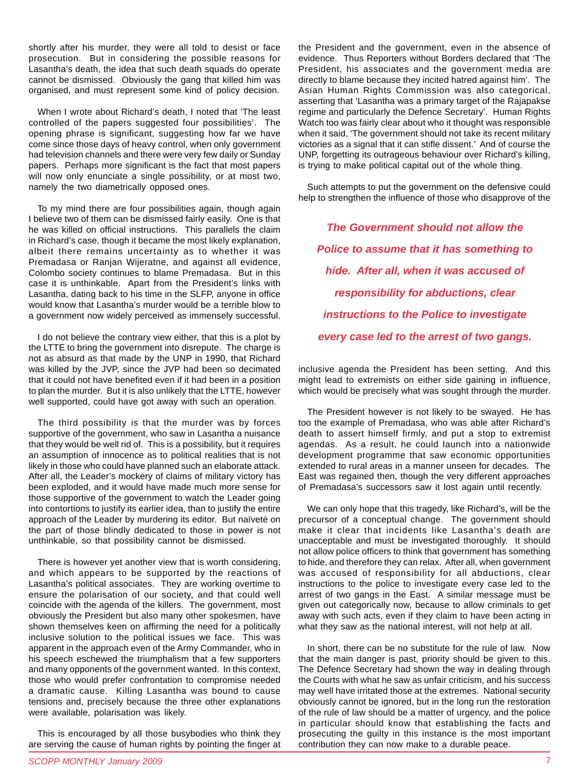shortly after his murder, they were all told to desist or face prosecution. But in considering the possible reasons for Lasantha's death, the idea that such death squads do operate cannot be dismissed. Obviously the gang that killed him was organised, and must represent some kind of policy decision.

When I wrote about Richard's death, I noted that 'The least controlled of the papers suggested four possibilities'. The opening phrase is significant, suggesting how far we have come since those days of heavy control, when only government had television channels and there were very few daily or Sunday papers. Perhaps more significant is the fact that most papers will now only enunciate a single possibility, or at most two, namely the two diametrically opposed ones.

To my mind there are four possibilities again, though again I believe two of them can be dismissed fairly easily. One is that he was killed on official instructions. This parallels the claim in Richard's case, though it became the most likely explanation, albeit there remains uncertainty as to whether it was Premadasa or Ranjan Wijeratne, and against all evidence, Colombo society continues to blame Premadasa. But in this case it is unthinkable. Apart from the President's links with Lasantha, dating back to his time in the SLFP, anyone in office would know that Lasantha's murder would be a terrible blow to a government now widely perceived as immensely successful.

I do not believe the contrary view either, that this is a plot by the LTTE to bring the government into disrepute. The charge is not as absurd as that made by the UNP in 1990, that Richard was killed by the JVP, since the JVP had been so decimated that it could not have benefited even if it had been in a position to plan the murder. But it is also unlikely that the LTTE, however well supported, could have got away with such an operation.

The third possibility is that the murder was by forces supportive of the government, who saw in Lasantha a nuisance that they would be well rid of. This is a possibility, but it requires an assumption of innocence as to political realities that is not likely in those who could have planned such an elaborate attack. After all, the Leader's mockery of claims of military victory has been exploded, and it would have made much more sense for those supportive of the government to watch the Leader going into contortions to justify its earlier idea, than to justify the entire approach of the Leader by murdering its editor. But naïveté on the part of those blindly dedicated to those in power is not unthinkable, so that possibility cannot be dismissed.

There is however yet another view that is worth considering, and which appears to be supported by the reactions of Lasantha's political associates. They are working overtime to ensure the polarisation of our society, and that could well coincide with the agenda of the killers. The government, most obviously the President but also many other spokesmen, have shown themselves keen on affirming the need for a politically inclusive solution to the political issues we face. This was apparent in the approach even of the Army Commander, who in his speech eschewed the triumphalism that a few supporters and many opponents of the government wanted. In this context, those who would prefer confrontation to compromise needed a dramatic cause. Killing Lasantha was bound to cause tensions and, precisely because the three other explanations were available, polarisation was likely.

This is encouraged by all those busybodies who think they are serving the cause of human rights by pointing the finger at the President and the government, even in the absence of evidence. Thus Reporters without Borders declared that 'The President, his associates and the government media are directly to blame because they incited hatred against him'. The Asian Human Rights Commission was also categorical, asserting that 'Lasantha was a primary target of the Rajapakse regime and particularly the Defence Secretary'. Human Rights Watch too was fairly clear about who it thought was responsible when it said, 'The government should not take its recent military victories as a signal that it can stifle dissent.' And of course the UNP, forgetting its outrageous behaviour over Richard's killing, is trying to make political capital out of the whole thing.

Such attempts to put the government on the defensive could help to strengthen the influence of those who disapprove of the

*The Government should not allow the Police to assume that it has something to hide. After all, when it was accused of responsibility for abductions, clear instructions to the Police to investigate every case led to the arrest of two gangs.*

inclusive agenda the President has been setting. And this might lead to extremists on either side gaining in influence, which would be precisely what was sought through the murder.

The President however is not likely to be swayed. He has too the example of Premadasa, who was able after Richard's death to assert himself firmly, and put a stop to extremist agendas. As a result, he could launch into a nationwide development programme that saw economic opportunities extended to rural areas in a manner unseen for decades. The East was regained then, though the very different approaches of Premadasa's successors saw it lost again until recently.

We can only hope that this tragedy, like Richard's, will be the precursor of a conceptual change. The government should make it clear that incidents like Lasantha's death are unacceptable and must be investigated thoroughly. It should not allow police officers to think that government has something to hide, and therefore they can relax. After all, when government was accused of responsibility for all abductions, clear instructions to the police to investigate every case led to the arrest of two gangs in the East. A similar message must be given out categorically now, because to allow criminals to get away with such acts, even if they claim to have been acting in what they saw as the national interest, will not help at all.

In short, there can be no substitute for the rule of law. Now that the main danger is past, priority should be given to this. The Defence Secretary had shown the way in dealing through the Courts with what he saw as unfair criticism, and his success may well have irritated those at the extremes. National security obviously cannot be ignored, but in the long run the restoration of the rule of law should be a matter of urgency, and the police in particular should know that establishing the facts and prosecuting the guilty in this instance is the most important contribution they can now make to a durable peace.